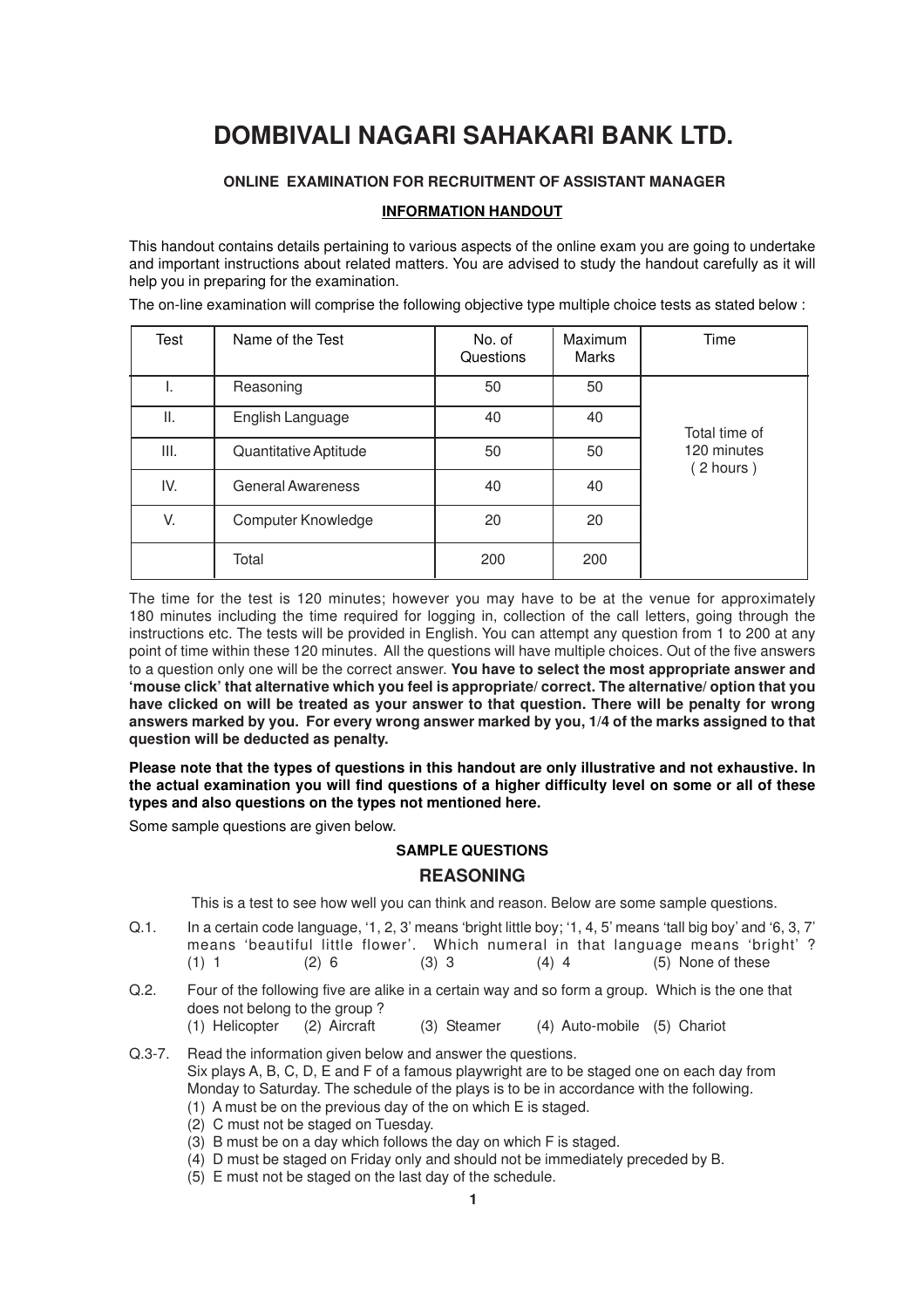# **DOMBIVALI NAGARI SAHAKARI BANK LTD.**

## **ONLINE EXAMINATION FOR RECRUITMENT OF ASSISTANT MANAGER**

## **INFORMATION HANDOUT**

This handout contains details pertaining to various aspects of the online exam you are going to undertake and important instructions about related matters. You are advised to study the handout carefully as it will help you in preparing for the examination.

| Test | Name of the Test         | No. of<br>Questions | Maximum<br>Marks | Time                     |
|------|--------------------------|---------------------|------------------|--------------------------|
| ı.   | Reasoning                | 50                  | 50               |                          |
| Ш.   | English Language         | 40                  | 40               | Total time of            |
| III. | Quantitative Aptitude    | 50                  | 50               | 120 minutes<br>(2 hours) |
| IV.  | <b>General Awareness</b> | 40                  | 40               |                          |
| V.   | Computer Knowledge       | 20                  | 20               |                          |
|      | Total                    | 200                 | 200              |                          |

The on-line examination will comprise the following objective type multiple choice tests as stated below :

The time for the test is 120 minutes; however you may have to be at the venue for approximately 180 minutes including the time required for logging in, collection of the call letters, going through the instructions etc. The tests will be provided in English. You can attempt any question from 1 to 200 at any point of time within these 120 minutes. All the questions will have multiple choices. Out of the five answers to a question only one will be the correct answer. **You have to select the most appropriate answer and 'mouse click' that alternative which you feel is appropriate/ correct. The alternative/ option that you have clicked on will be treated as your answer to that question. There will be penalty for wrong answers marked by you. For every wrong answer marked by you, 1/4 of the marks assigned to that question will be deducted as penalty.**

**Please note that the types of questions in this handout are only illustrative and not exhaustive. In the actual examination you will find questions of a higher difficulty level on some or all of these types and also questions on the types not mentioned here.**

Some sample questions are given below.

## **SAMPLE QUESTIONS**

## **REASONING**

This is a test to see how well you can think and reason. Below are some sample questions.

- Q.1. In a certain code language, '1, 2, 3' means 'bright little boy; '1, 4, 5' means 'tall big boy' and '6, 3, 7' means 'beautiful little flower'. Which numeral in that language means 'bright' ? (1) 1 (2) 6 (3) 3 (4) 4 (5) None of these
- Q.2. Four of the following five are alike in a certain way and so form a group. Which is the one that does not belong to the group ?
	- (1) Helicopter (2) Aircraft (3) Steamer (4) Auto-mobile (5) Chariot
- Q.3-7. Read the information given below and answer the questions. Six plays A, B, C, D, E and F of a famous playwright are to be staged one on each day from Monday to Saturday. The schedule of the plays is to be in accordance with the following. (1) A must be on the previous day of the on which E is staged.
	- (2) C must not be staged on Tuesday.
	- (3) B must be on a day which follows the day on which F is staged.
	- (4) D must be staged on Friday only and should not be immediately preceded by B.
	- (5) E must not be staged on the last day of the schedule.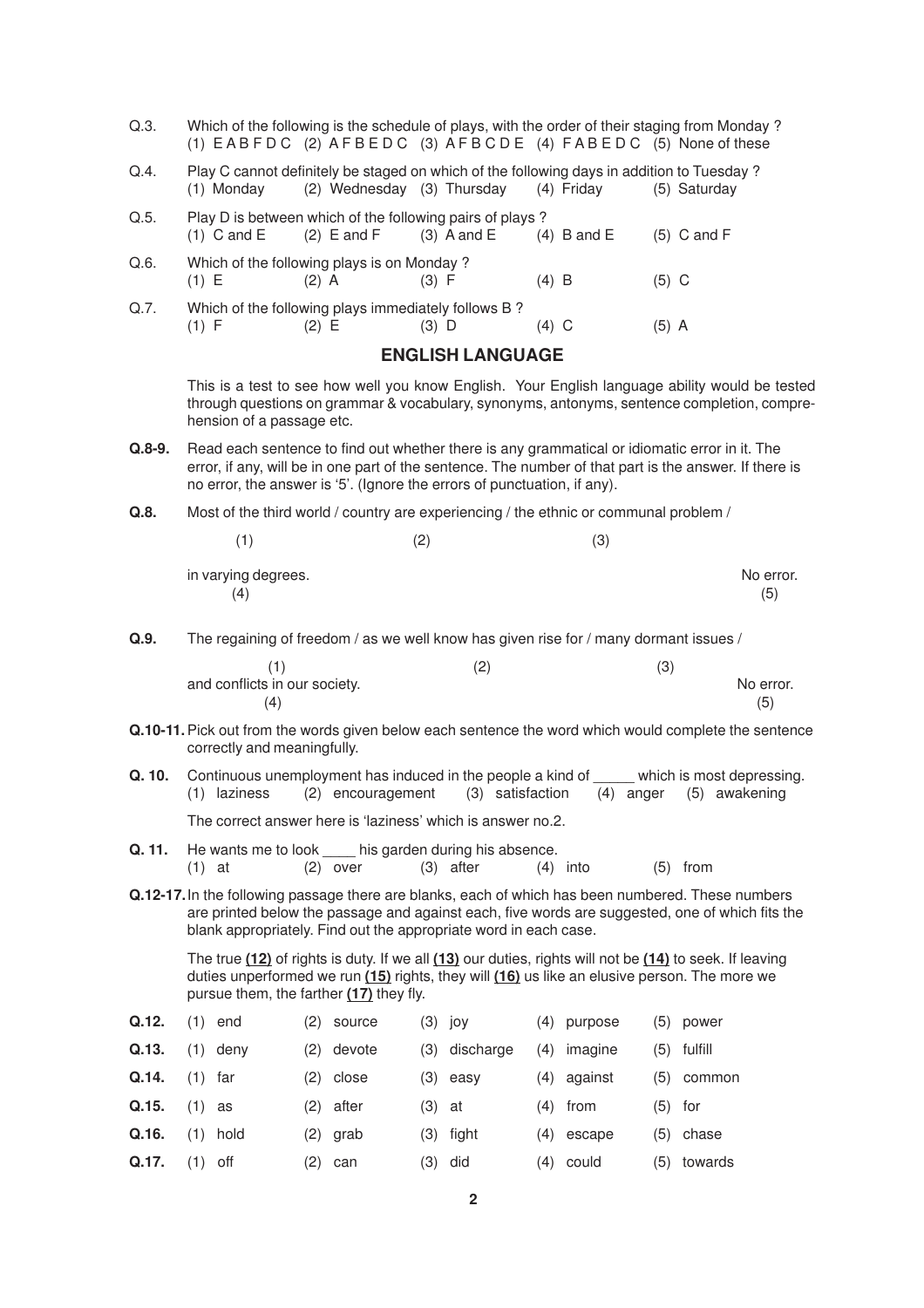- Q.3. Which of the following is the schedule of plays, with the order of their staging from Monday ? (1)  $E$  A B F D C (2)  $A$  F B E D C (3)  $A$  F B C D E (4)  $F$  A B E D C (5) None of these
- Q.4. Play C cannot definitely be staged on which of the following days in addition to Tuesday ? (1) Monday (2) Wednesday (3) Thursday (4) Friday (5) Saturday

| Q.5.    |               |                                            | Play D is between which of the following pairs of plays? |               |               |
|---------|---------------|--------------------------------------------|----------------------------------------------------------|---------------|---------------|
|         | $(1)$ C and E | $(2)$ E and F                              | $(3)$ A and E                                            | $(4)$ B and E | $(5)$ C and F |
| $Q.6$ . |               | Which of the following plays is on Monday? |                                                          |               |               |
|         | (1) E         | $(2)$ A                                    | (3) F                                                    | $(4)$ B       | $(5)$ C       |
| Q.7.    |               |                                            | Which of the following plays immediately follows B?      |               |               |
|         |               | (2) E                                      | (3) D                                                    | (4) C         | (5) A         |

## **ENGLISH LANGUAGE**

This is a test to see how well you know English. Your English language ability would be tested through questions on grammar & vocabulary, synonyms, antonyms, sentence completion, comprehension of a passage etc.

- **Q.8-9.** Read each sentence to find out whether there is any grammatical or idiomatic error in it. The error, if any, will be in one part of the sentence. The number of that part is the answer. If there is no error, the answer is '5'. (Ignore the errors of punctuation, if any).
- **Q.8.** Most of the third world / country are experiencing / the ethnic or communal problem /

| 1                          | (2) | (3) |                  |
|----------------------------|-----|-----|------------------|
| in varying degrees.<br>(4) |     |     | No error.<br>(5) |

**Q.9.** The regaining of freedom / as we well know has given rise for / many dormant issues /

|                               | ⊂ | (3 |           |
|-------------------------------|---|----|-----------|
| and conflicts in our society. |   |    | No error. |
| (4)                           |   |    | (5)       |

- **Q.10-11.**Pick out from the words given below each sentence the word which would complete the sentence correctly and meaningfully.
- **Q. 10.** Continuous unemployment has induced in the people a kind of which is most depressing. (1) laziness (2) encouragement (3) satisfaction (4) anger (5) awakening

The correct answer here is 'laziness' which is answer no.2.

- **Q. 11.** He wants me to look his garden during his absence. (1) at  $(2)$  over  $(3)$  after  $(4)$  into  $(5)$  from
- **Q.12-17.**In the following passage there are blanks, each of which has been numbered. These numbers are printed below the passage and against each, five words are suggested, one of which fits the blank appropriately. Find out the appropriate word in each case.

The true **(12)** of rights is duty. If we all **(13)** our duties, rights will not be **(14)** to seek. If leaving duties unperformed we run **(15)** rights, they will **(16)** us like an elusive person. The more we pursue them, the farther **(17)** they fly.

| Q.12. |           | $(1)$ end  | (2) source   |          | $(3)$ joy     | (4) purpose   |           | $(5)$ power   |
|-------|-----------|------------|--------------|----------|---------------|---------------|-----------|---------------|
| Q.13. |           | $(1)$ deny | $(2)$ devote |          | (3) discharge | $(4)$ imagine |           | $(5)$ fulfill |
| Q.14. | $(1)$ far |            | (2) close    |          | $(3)$ easy    | (4) against   |           | $(5)$ common  |
| Q.15. | $(1)$ as  |            | $(2)$ after  | $(3)$ at |               | $(4)$ from    | $(5)$ for |               |
| Q.16. |           | $(1)$ hold | (2) grab     |          | $(3)$ fight   | $(4)$ escape  |           | $(5)$ chase   |
| Q.17. | $(1)$ off |            | (2) can      |          | $(3)$ did     | $(4)$ could   |           | (5) towards   |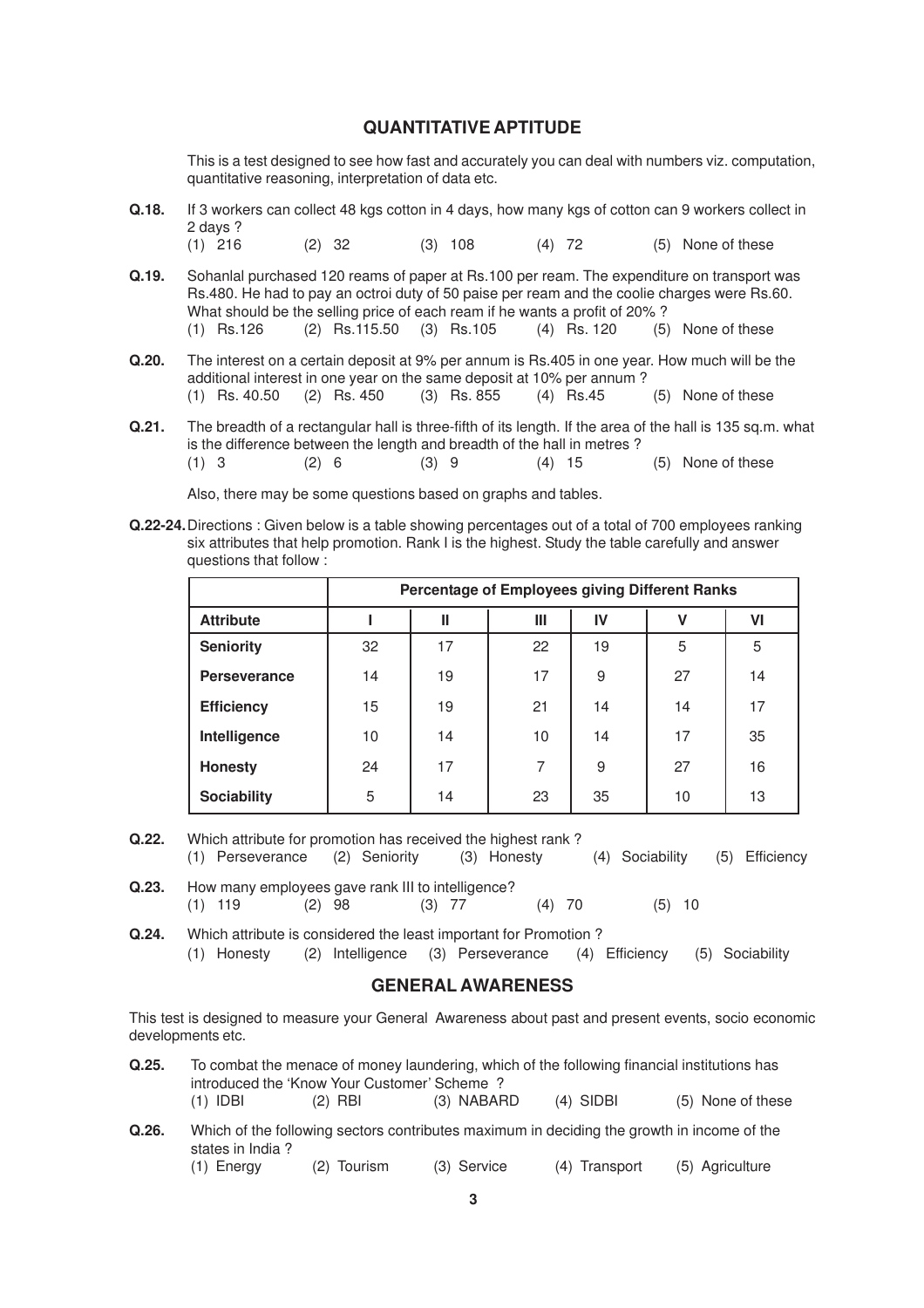# **QUANTITATIVE APTITUDE**

This is a test designed to see how fast and accurately you can deal with numbers viz. computation, quantitative reasoning, interpretation of data etc.

- **Q.18.** If 3 workers can collect 48 kgs cotton in 4 days, how many kgs of cotton can 9 workers collect in 2 days ? (1) 216 (2) 32 (3) 108 (4) 72 (5) None of these **Q.19.** Sohanlal purchased 120 reams of paper at Rs.100 per ream. The expenditure on transport was Rs.480. He had to pay an octroi duty of 50 paise per ream and the coolie charges were Rs.60. What should be the selling price of each ream if he wants a profit of 20% ?<br>(1)  $\text{Rs.126}$  (2)  $\text{Rs.115.50}$  (3)  $\text{Rs.105}$  (4)  $\text{Rs.120}$  (5) None of these (1) Rs.126 (2) Rs.115.50 (3) Rs.105 (4) Rs. 120 **Q.20.** The interest on a certain deposit at 9% per annum is Rs.405 in one year. How much will be the additional interest in one year on the same deposit at 10% per annum ?
	- (1) Rs. 40.50 (2) Rs. 450 (3) Rs. 855 (4) Rs.45 (5) None of these
- **Q.21.** The breadth of a rectangular hall is three-fifth of its length. If the area of the hall is 135 sq.m. what is the difference between the length and breadth of the hall in metres ?<br>(1)  $3 \t(2) 6 \t(3) 9 \t(4) 15$  $(2) 6$   $(3) 9$   $(4) 15$   $(5)$  None of these

Also, there may be some questions based on graphs and tables.

**Q.22-24.**Directions : Given below is a table showing percentages out of a total of 700 employees ranking six attributes that help promotion. Rank I is the highest. Study the table carefully and answer questions that follow :

|                     |    | Percentage of Employees giving Different Ranks |    |    |    |    |
|---------------------|----|------------------------------------------------|----|----|----|----|
| <b>Attribute</b>    |    | Ш                                              | Ш  | IV | ۷  | ٧I |
| <b>Seniority</b>    | 32 | 17                                             | 22 | 19 | 5  | 5  |
| <b>Perseverance</b> | 14 | 19                                             | 17 | 9  | 27 | 14 |
| <b>Efficiency</b>   | 15 | 19                                             | 21 | 14 | 14 | 17 |
| Intelligence        | 10 | 14                                             | 10 | 14 | 17 | 35 |
| <b>Honesty</b>      | 24 | 17                                             | 7  | 9  | 27 | 16 |
| <b>Sociability</b>  | 5  | 14                                             | 23 | 35 | 10 | 13 |

- **Q.22.** Which attribute for promotion has received the highest rank ? (1) Perseverance (2) Seniority (3) Honesty (4) Sociability (5) Efficiency
- **Q.23.** How many employees gave rank III to intelligence? (1) 119 (2) 98 (3)  $77$  (4) 70 (5) 10
- **Q.24.** Which attribute is considered the least important for Promotion ? (1) Honesty (2) Intelligence (3) Perseverance (4) Efficiency (5) Sociability

## **GENERAL AWARENESS**

This test is designed to measure your General Awareness about past and present events, socio economic developments etc.

| Q.25. | To combat the menace of money laundering, which of the following financial institutions has |                                             |            |             |                   |  |  |
|-------|---------------------------------------------------------------------------------------------|---------------------------------------------|------------|-------------|-------------------|--|--|
|       |                                                                                             | introduced the 'Know Your Customer' Scheme? |            |             |                   |  |  |
|       | $(1)$ IDBI                                                                                  | $(2)$ RBI                                   | (3) NABARD | $(4)$ SIDBI | (5) None of these |  |  |

**Q.26.** Which of the following sectors contributes maximum in deciding the growth in income of the states in India ? (1) Energy (2) Tourism (3) Service (4) Transport (5) Agriculture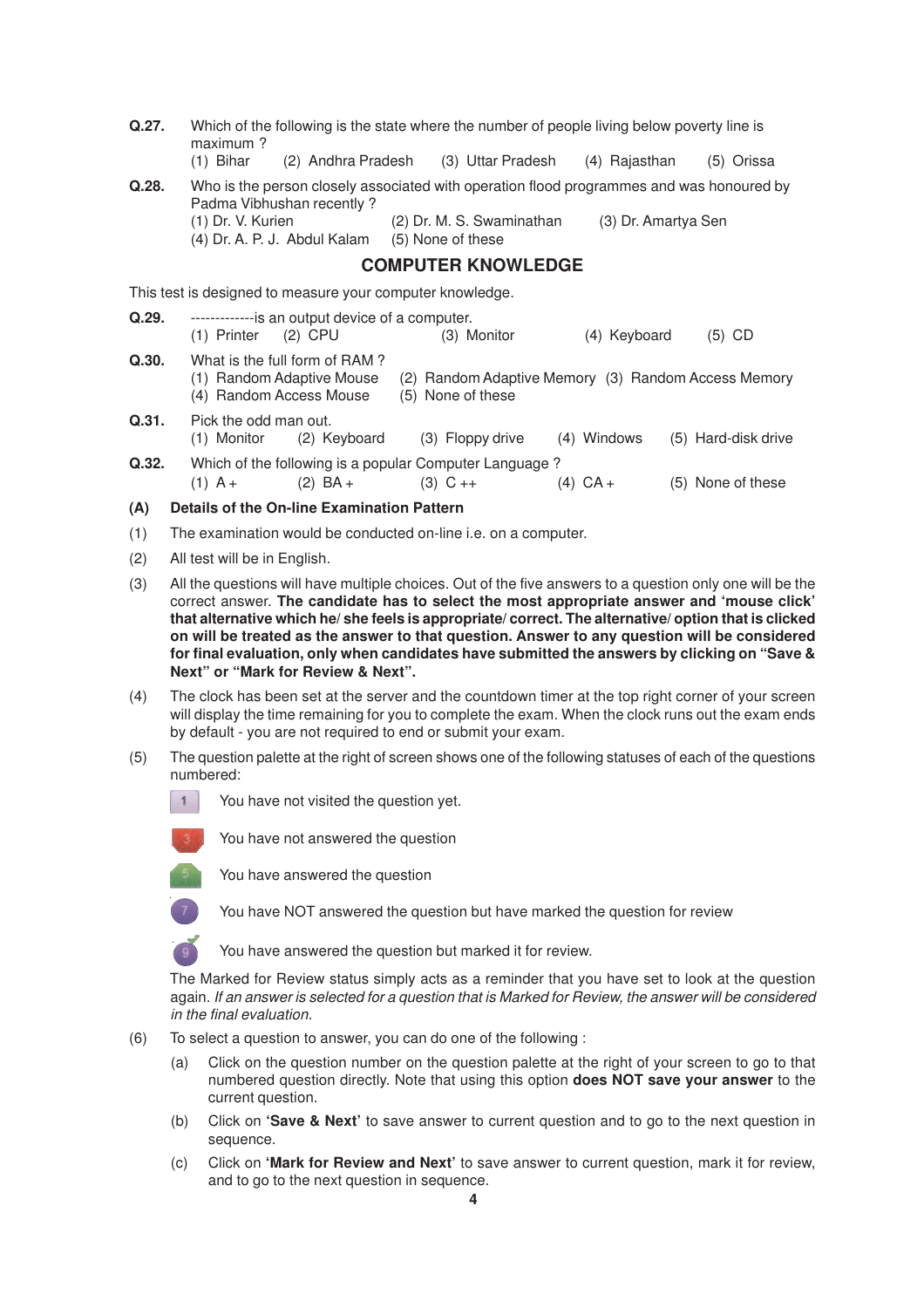| Q.27. | Which of the following is the state where the number of people living below poverty line is<br>maximum?                                                                                                                                                                                                                                                                                                                                                                                                                                           |
|-------|---------------------------------------------------------------------------------------------------------------------------------------------------------------------------------------------------------------------------------------------------------------------------------------------------------------------------------------------------------------------------------------------------------------------------------------------------------------------------------------------------------------------------------------------------|
|       | $(1)$ Bihar<br>(2) Andhra Pradesh<br>(3) Uttar Pradesh<br>(4) Rajasthan<br>(5) Orissa                                                                                                                                                                                                                                                                                                                                                                                                                                                             |
| Q.28. | Who is the person closely associated with operation flood programmes and was honoured by<br>Padma Vibhushan recently?<br>(2) Dr. M. S. Swaminathan<br>(1) Dr. V. Kurien<br>(3) Dr. Amartya Sen                                                                                                                                                                                                                                                                                                                                                    |
|       | (4) Dr. A. P. J. Abdul Kalam<br>(5) None of these                                                                                                                                                                                                                                                                                                                                                                                                                                                                                                 |
|       | <b>COMPUTER KNOWLEDGE</b>                                                                                                                                                                                                                                                                                                                                                                                                                                                                                                                         |
|       | This test is designed to measure your computer knowledge.                                                                                                                                                                                                                                                                                                                                                                                                                                                                                         |
| Q.29. | -------------is an output device of a computer.<br>$(2)$ CPU<br>(3) Monitor<br>(4) Keyboard<br>$(5)$ CD<br>$(1)$ Printer                                                                                                                                                                                                                                                                                                                                                                                                                          |
| Q.30. | What is the full form of RAM?<br>(1) Random Adaptive Mouse<br>(2) Random Adaptive Memory (3) Random Access Memory<br>(4) Random Access Mouse<br>(5) None of these                                                                                                                                                                                                                                                                                                                                                                                 |
| Q.31. | Pick the odd man out.<br>(1) Monitor<br>(2) Keyboard<br>(4) Windows<br>(5) Hard-disk drive<br>(3) Floppy drive                                                                                                                                                                                                                                                                                                                                                                                                                                    |
| Q.32. | Which of the following is a popular Computer Language?<br>$(4)$ CA +<br>(5) None of these<br>$(1)$ A +<br>$(2)$ BA +<br>$(3)$ C ++                                                                                                                                                                                                                                                                                                                                                                                                                |
| (A)   | <b>Details of the On-line Examination Pattern</b>                                                                                                                                                                                                                                                                                                                                                                                                                                                                                                 |
| (1)   | The examination would be conducted on-line i.e. on a computer.                                                                                                                                                                                                                                                                                                                                                                                                                                                                                    |
| (2)   | All test will be in English.                                                                                                                                                                                                                                                                                                                                                                                                                                                                                                                      |
| (3)   | All the questions will have multiple choices. Out of the five answers to a question only one will be the<br>correct answer. The candidate has to select the most appropriate answer and 'mouse click'<br>that alternative which he/she feels is appropriate/correct. The alternative/option that is clicked<br>on will be treated as the answer to that question. Answer to any question will be considered<br>for final evaluation, only when candidates have submitted the answers by clicking on "Save &<br>Next" or "Mark for Review & Next". |
| (4)   | The clock has been set at the server and the countdown timer at the top right corner of your screen<br>will display the time remaining for you to complete the exam. When the clock runs out the exam ends<br>by default - you are not required to end or submit your exam.                                                                                                                                                                                                                                                                       |
| (5)   | The question palette at the right of screen shows one of the following statuses of each of the questions<br>numbered:                                                                                                                                                                                                                                                                                                                                                                                                                             |
|       | You have not visited the question yet.                                                                                                                                                                                                                                                                                                                                                                                                                                                                                                            |
|       | You have not answered the question                                                                                                                                                                                                                                                                                                                                                                                                                                                                                                                |
|       | You have answered the question                                                                                                                                                                                                                                                                                                                                                                                                                                                                                                                    |
|       | You have NOT answered the question but have marked the question for review                                                                                                                                                                                                                                                                                                                                                                                                                                                                        |
|       | You have answered the question but marked it for review.                                                                                                                                                                                                                                                                                                                                                                                                                                                                                          |
|       | The Marked for Review status simply acts as a reminder that you have set to look at the question<br>again. If an answer is selected for a question that is Marked for Review, the answer will be considered<br>in the final evaluation.                                                                                                                                                                                                                                                                                                           |
| (6)   | To select a question to answer, you can do one of the following :                                                                                                                                                                                                                                                                                                                                                                                                                                                                                 |
|       | Click on the question number on the question palette at the right of your screen to go to that<br>(a)<br>numbered question directly. Note that using this option does NOT save your answer to the<br>current question.                                                                                                                                                                                                                                                                                                                            |

- (b) Click on **'Save & Next'** to save answer to current question and to go to the next question in sequence.
- (c) Click on **'Mark for Review and Next'** to save answer to current question, mark it for review, and to go to the next question in sequence.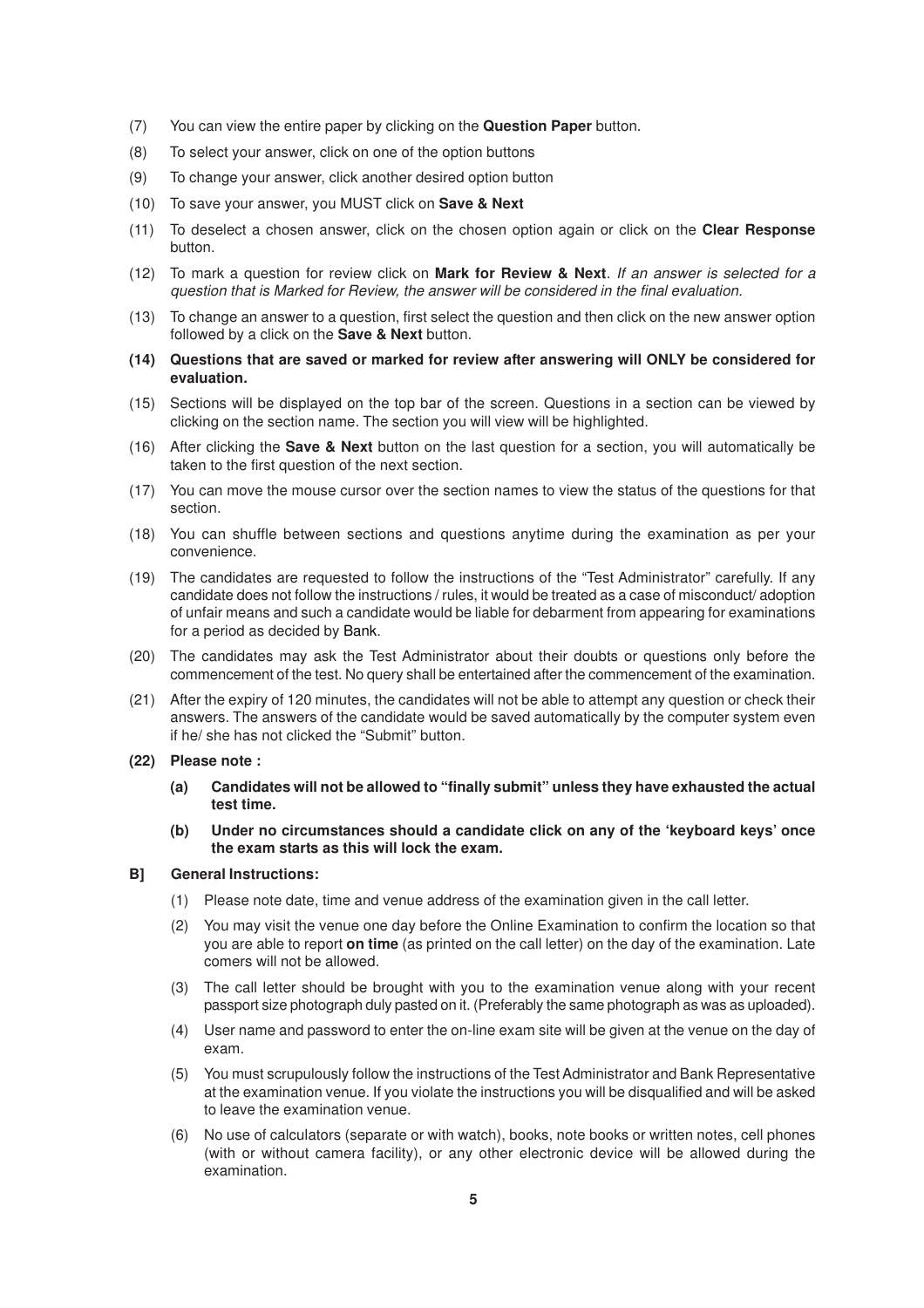- (7) You can view the entire paper by clicking on the **Question Paper** button.
- (8) To select your answer, click on one of the option buttons
- (9) To change your answer, click another desired option button
- (10) To save your answer, you MUST click on **Save & Next**
- (11) To deselect a chosen answer, click on the chosen option again or click on the **Clear Response** button.
- (12) To mark a question for review click on **Mark for Review & Next**. If an answer is selected for a question that is Marked for Review, the answer will be considered in the final evaluation.
- (13) To change an answer to a question, first select the question and then click on the new answer option followed by a click on the **Save & Next** button.
- **(14) Questions that are saved or marked for review after answering will ONLY be considered for evaluation.**
- (15) Sections will be displayed on the top bar of the screen. Questions in a section can be viewed by clicking on the section name. The section you will view will be highlighted.
- (16) After clicking the **Save & Next** button on the last question for a section, you will automatically be taken to the first question of the next section.
- (17) You can move the mouse cursor over the section names to view the status of the questions for that section.
- (18) You can shuffle between sections and questions anytime during the examination as per your convenience.
- (19) The candidates are requested to follow the instructions of the "Test Administrator" carefully. If any candidate does not follow the instructions / rules, it would be treated as a case of misconduct/ adoption of unfair means and such a candidate would be liable for debarment from appearing for examinations for a period as decided by Bank.
- (20) The candidates may ask the Test Administrator about their doubts or questions only before the commencement of the test. No query shall be entertained after the commencement of the examination.
- (21) After the expiry of 120 minutes, the candidates will not be able to attempt any question or check their answers. The answers of the candidate would be saved automatically by the computer system even if he/ she has not clicked the "Submit" button.
- **(22) Please note :**
	- **(a) Candidates will not be allowed to "finally submit" unless they have exhausted the actual test time.**
	- **(b) Under no circumstances should a candidate click on any of the 'keyboard keys' once the exam starts as this will lock the exam.**

#### **B] General Instructions:**

- (1) Please note date, time and venue address of the examination given in the call letter.
- (2) You may visit the venue one day before the Online Examination to confirm the location so that you are able to report **on time** (as printed on the call letter) on the day of the examination. Late comers will not be allowed.
- (3) The call letter should be brought with you to the examination venue along with your recent passport size photograph duly pasted on it. (Preferably the same photograph as was as uploaded).
- (4) User name and password to enter the on-line exam site will be given at the venue on the day of exam.
- (5) You must scrupulously follow the instructions of the Test Administrator and Bank Representative at the examination venue. If you violate the instructions you will be disqualified and will be asked to leave the examination venue.
- (6) No use of calculators (separate or with watch), books, note books or written notes, cell phones (with or without camera facility), or any other electronic device will be allowed during the examination.